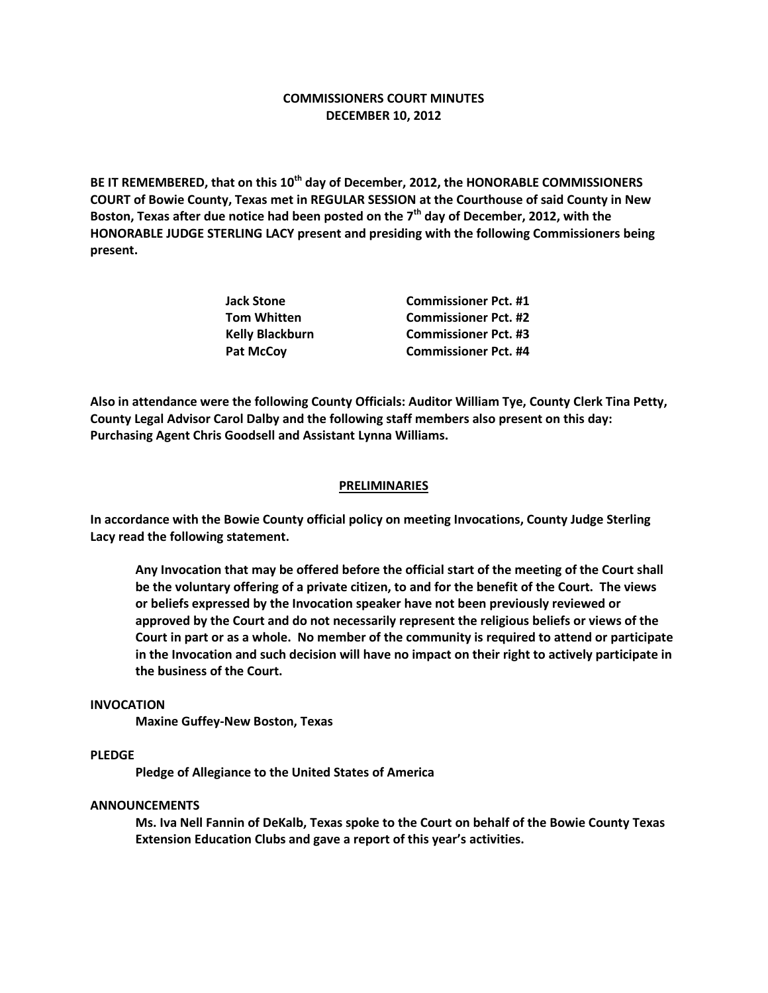# **COMMISSIONERS COURT MINUTES DECEMBER 10, 2012**

**BE IT REMEMBERED, that on this 10th day of December, 2012, the HONORABLE COMMISSIONERS COURT of Bowie County, Texas met in REGULAR SESSION at the Courthouse of said County in New Boston, Texas after due notice had been posted on the 7th day of December, 2012, with the HONORABLE JUDGE STERLING LACY present and presiding with the following Commissioners being present.**

| <b>Jack Stone</b>      | <b>Commissioner Pct. #1</b> |
|------------------------|-----------------------------|
| Tom Whitten            | <b>Commissioner Pct. #2</b> |
| <b>Kelly Blackburn</b> | <b>Commissioner Pct. #3</b> |
| Pat McCoy              | <b>Commissioner Pct. #4</b> |

**Also in attendance were the following County Officials: Auditor William Tye, County Clerk Tina Petty, County Legal Advisor Carol Dalby and the following staff members also present on this day: Purchasing Agent Chris Goodsell and Assistant Lynna Williams.**

#### **PRELIMINARIES**

**In accordance with the Bowie County official policy on meeting Invocations, County Judge Sterling Lacy read the following statement.**

**Any Invocation that may be offered before the official start of the meeting of the Court shall be the voluntary offering of a private citizen, to and for the benefit of the Court. The views or beliefs expressed by the Invocation speaker have not been previously reviewed or approved by the Court and do not necessarily represent the religious beliefs or views of the Court in part or as a whole. No member of the community is required to attend or participate in the Invocation and such decision will have no impact on their right to actively participate in the business of the Court.**

#### **INVOCATION**

**Maxine Guffey-New Boston, Texas**

## **PLEDGE**

**Pledge of Allegiance to the United States of America**

# **ANNOUNCEMENTS**

**Ms. Iva Nell Fannin of DeKalb, Texas spoke to the Court on behalf of the Bowie County Texas Extension Education Clubs and gave a report of this year's activities.**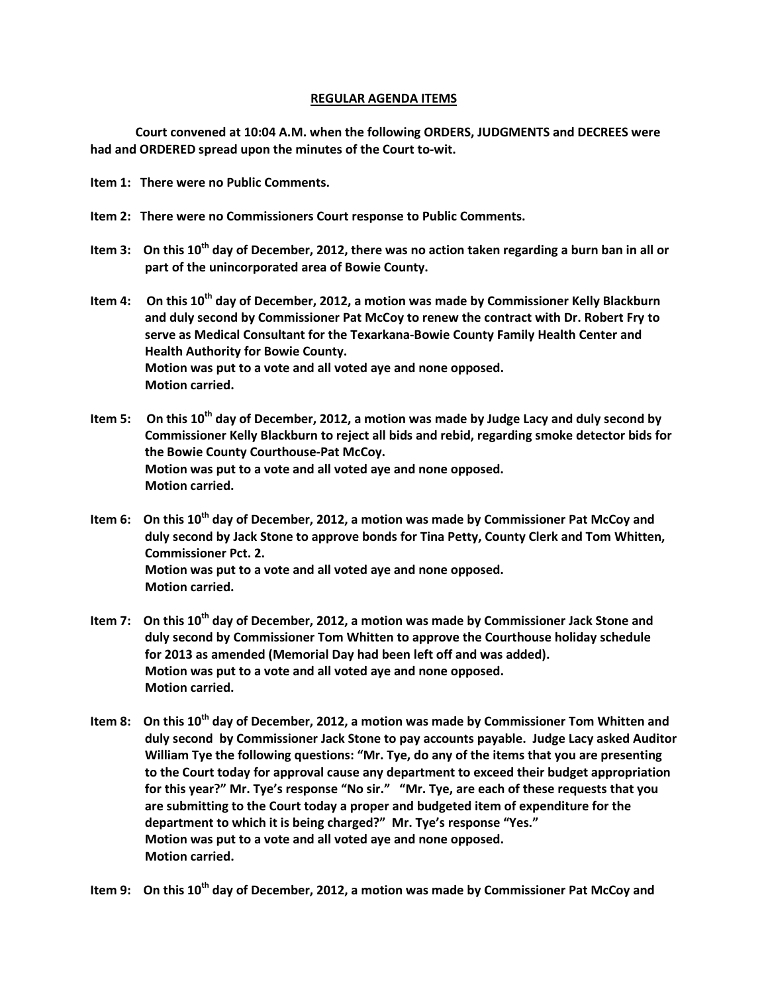## **REGULAR AGENDA ITEMS**

**Court convened at 10:04 A.M. when the following ORDERS, JUDGMENTS and DECREES were had and ORDERED spread upon the minutes of the Court to-wit.**

- **Item 1: There were no Public Comments.**
- **Item 2: There were no Commissioners Court response to Public Comments.**
- **Item 3: On this 10th day of December, 2012, there was no action taken regarding a burn ban in all or part of the unincorporated area of Bowie County.**
- **Item 4: On this 10th day of December, 2012, a motion was made by Commissioner Kelly Blackburn and duly second by Commissioner Pat McCoy to renew the contract with Dr. Robert Fry to serve as Medical Consultant for the Texarkana-Bowie County Family Health Center and Health Authority for Bowie County. Motion was put to a vote and all voted aye and none opposed. Motion carried.**
- **Item 5: On this 10th day of December, 2012, a motion was made by Judge Lacy and duly second by Commissioner Kelly Blackburn to reject all bids and rebid, regarding smoke detector bids for the Bowie County Courthouse-Pat McCoy. Motion was put to a vote and all voted aye and none opposed. Motion carried.**
- **Item 6: On this 10th day of December, 2012, a motion was made by Commissioner Pat McCoy and duly second by Jack Stone to approve bonds for Tina Petty, County Clerk and Tom Whitten, Commissioner Pct. 2. Motion was put to a vote and all voted aye and none opposed. Motion carried.**
- **Item 7: On this 10th day of December, 2012, a motion was made by Commissioner Jack Stone and duly second by Commissioner Tom Whitten to approve the Courthouse holiday schedule for 2013 as amended (Memorial Day had been left off and was added). Motion was put to a vote and all voted aye and none opposed. Motion carried.**
- **Item 8: On this 10th day of December, 2012, a motion was made by Commissioner Tom Whitten and duly second by Commissioner Jack Stone to pay accounts payable. Judge Lacy asked Auditor William Tye the following questions: "Mr. Tye, do any of the items that you are presenting to the Court today for approval cause any department to exceed their budget appropriation for this year?" Mr. Tye's response "No sir." "Mr. Tye, are each of these requests that you are submitting to the Court today a proper and budgeted item of expenditure for the department to which it is being charged?" Mr. Tye's response "Yes." Motion was put to a vote and all voted aye and none opposed. Motion carried.**

**Item 9: On this 10th day of December, 2012, a motion was made by Commissioner Pat McCoy and**